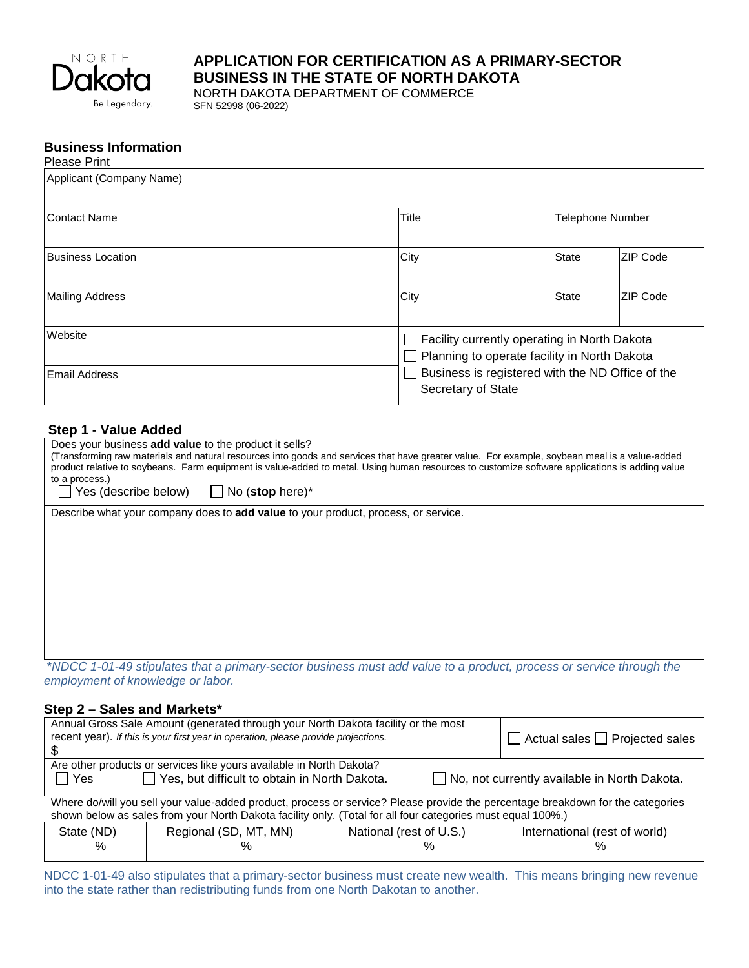

# **APPLICATION FOR CERTIFICATION AS A PRIMARY-SECTOR BUSINESS IN THE STATE OF NORTH DAKOTA**

NORTH DAKOTA DEPARTMENT OF COMMERCE SFN 52998 (06-2022)

#### **Business Information** Please Print

| Applicant (Company Name)        |                                                                                                                                                                        |                  |                 |  |
|---------------------------------|------------------------------------------------------------------------------------------------------------------------------------------------------------------------|------------------|-----------------|--|
| l Contact Name                  | Title                                                                                                                                                                  | Telephone Number |                 |  |
| <b>Business Location</b>        | <b>City</b>                                                                                                                                                            | <b>State</b>     | ZIP Code        |  |
| <b>Mailing Address</b>          | City                                                                                                                                                                   | <b>State</b>     | <b>ZIP Code</b> |  |
| Website<br><b>Email Address</b> | Facility currently operating in North Dakota<br>Planning to operate facility in North Dakota<br>Business is registered with the ND Office of the<br>Secretary of State |                  |                 |  |

# **Step 1 - Value Added**

| Does your business add value to the product it sells?                                                                                                            |  |  |  |  |
|------------------------------------------------------------------------------------------------------------------------------------------------------------------|--|--|--|--|
| (Transforming raw materials and natural resources into goods and services that have greater value. For example, soybean meal is a value-added                    |  |  |  |  |
| product relative to soybeans. Farm equipment is value-added to metal. Using human resources to customize software applications is adding value<br>to a process.) |  |  |  |  |
| Yes (describe below) $\Box$ No (stop here)*                                                                                                                      |  |  |  |  |
| Describe what your company does to <b>add value</b> to your product, process, or service.                                                                        |  |  |  |  |
|                                                                                                                                                                  |  |  |  |  |
|                                                                                                                                                                  |  |  |  |  |
|                                                                                                                                                                  |  |  |  |  |
|                                                                                                                                                                  |  |  |  |  |
|                                                                                                                                                                  |  |  |  |  |
|                                                                                                                                                                  |  |  |  |  |
|                                                                                                                                                                  |  |  |  |  |
|                                                                                                                                                                  |  |  |  |  |
|                                                                                                                                                                  |  |  |  |  |
| *NDCC 1-01-49 stipulates that a primary-sector business must add value to a product process or service through the                                               |  |  |  |  |

\**NDCC 1-01-49 stipulates that a primary-sector business must add value to a product, process or service through the employment of knowledge or labor.*

# **Step 2 – Sales and Markets\***

%

| Annual Gross Sale Amount (generated through your North Dakota facility or the most<br>recent year). If this is your first year in operation, please provide projections. |                       | $\Box$ Actual sales $\Box$ Projected sales |                               |  |
|--------------------------------------------------------------------------------------------------------------------------------------------------------------------------|-----------------------|--------------------------------------------|-------------------------------|--|
| Are other products or services like yours available in North Dakota?                                                                                                     |                       |                                            |                               |  |
| $\Box$ Yes, but difficult to obtain in North Dakota.<br>$\Box$ No, not currently available in North Dakota.<br>$\Box$ Yes                                                |                       |                                            |                               |  |
| Where do/will you sell your value-added product, process or service? Please provide the percentage breakdown for the categories                                          |                       |                                            |                               |  |
| shown below as sales from your North Dakota facility only. (Total for all four categories must equal 100%.)                                                              |                       |                                            |                               |  |
| State (ND)                                                                                                                                                               | Regional (SD, MT, MN) | National (rest of U.S.)                    | International (rest of world) |  |

NDCC 1-01-49 also stipulates that a primary-sector business must create new wealth. This means bringing new revenue into the state rather than redistributing funds from one North Dakotan to another.

%

 $\frac{0}{0}$ 

 $\frac{0}{0}$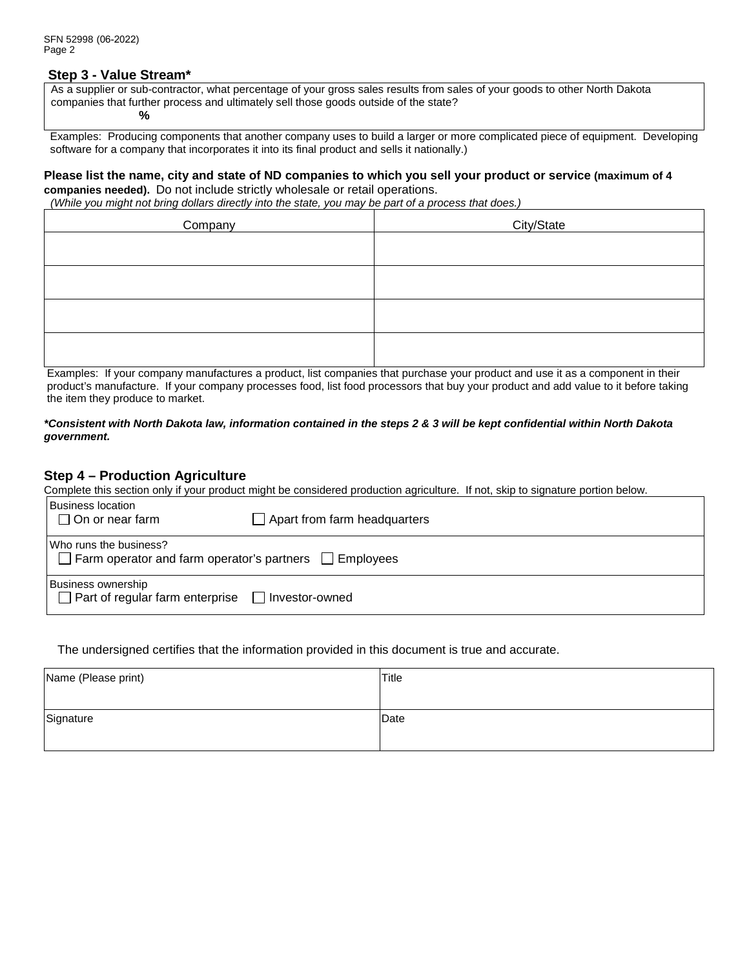### **Step 3 - Value Stream\***

As a supplier or sub-contractor, what percentage of your gross sales results from sales of your goods to other North Dakota companies that further process and ultimately sell those goods outside of the state? **%** 

 Examples: Producing components that another company uses to build a larger or more complicated piece of equipment. Developing software for a company that incorporates it into its final product and sells it nationally.)

### **Please list the name, city and state of ND companies to which you sell your product or service (maximum of 4 companies needed).** Do not include strictly wholesale or retail operations.

 *(While you might not bring dollars directly into the state, you may be part of a process that does.)*

| Company | City/State |
|---------|------------|
|         |            |
|         |            |
|         |            |
|         |            |

Examples: If your company manufactures a product, list companies that purchase your product and use it as a component in their product's manufacture. If your company processes food, list food processors that buy your product and add value to it before taking the item they produce to market.

#### *\*Consistent with North Dakota law, information contained in the steps 2 & 3 will be kept confidential within North Dakota government.*

## **Step 4 – Production Agriculture**

Complete this section only if your product might be considered production agriculture. If not, skip to signature portion below.

| <b>Business location</b><br>$\Box$ On or near farm                                           | Apart from farm headquarters |  |  |  |
|----------------------------------------------------------------------------------------------|------------------------------|--|--|--|
| Who runs the business?<br>$\Box$ Farm operator and farm operator's partners $\Box$ Employees |                              |  |  |  |
| <b>Business ownership</b><br>Part of regular farm enterprise<br>□ Investor-owned             |                              |  |  |  |

The undersigned certifies that the information provided in this document is true and accurate.

| Name (Please print) | Title |
|---------------------|-------|
|                     |       |
| Signature           | Date  |
|                     |       |